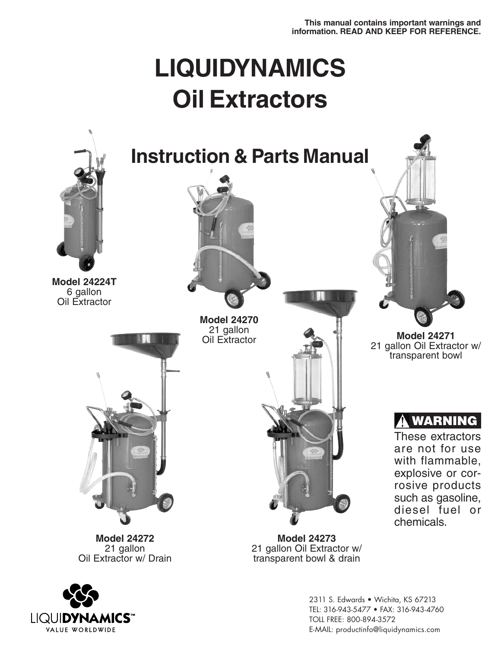# **LIQUIDYNAMICS Oil Extractors**





2311 S. Edwards • Wichita, KS 67213 TEL: 316-943-5477 • FAX: 316-943-4760 TOLL FREE: 800-894-3572 E-MAIL: productinfo@liquidynamics.com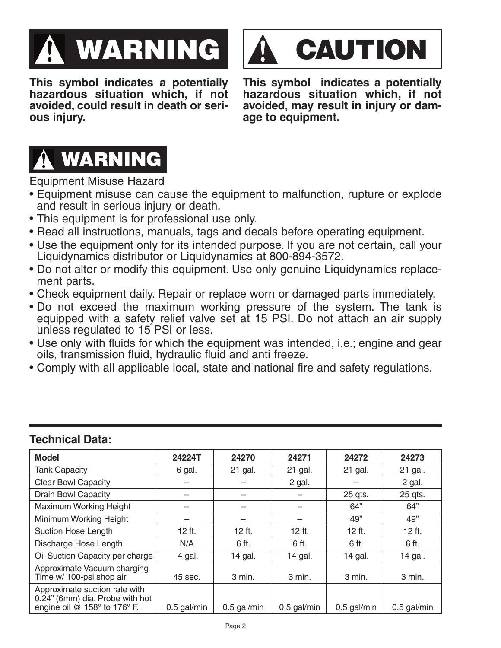



**This symbol indicates a potentially hazardous situation which, if not avoided, could result in death or serious injury.**

**This symbol indicates a potentially hazardous situation which, if not avoided, may result in injury or damage to equipment.**



Equipment Misuse Hazard

- Equipment misuse can cause the equipment to malfunction, rupture or explode and result in serious injury or death.
- This equipment is for professional use only.
- Read all instructions, manuals, tags and decals before operating equipment.
- Use the equipment only for its intended purpose. If you are not certain, call your Liquidynamics distributor or Liquidynamics at 800-894-3572.
- Do not alter or modify this equipment. Use only genuine Liquidynamics replacement parts.
- Check equipment daily. Repair or replace worn or damaged parts immediately.
- Do not exceed the maximum working pressure of the system. The tank is equipped with a safety relief valve set at 15 PSI. Do not attach an air supply unless regulated to 15 PSI or less.
- Use only with fluids for which the equipment was intended, i.e.; engine and gear oils, transmission fluid, hydraulic fluid and anti freeze.
- Comply with all applicable local, state and national fire and safety regulations.

| <b>Model</b>                                                                                                           | 24224T        | 24270         | 24271         | 24272         | 24273         |
|------------------------------------------------------------------------------------------------------------------------|---------------|---------------|---------------|---------------|---------------|
| <b>Tank Capacity</b>                                                                                                   | 6 gal.        | 21 gal.       | 21 gal.       | 21 gal.       | 21 gal.       |
| <b>Clear Bowl Capacity</b>                                                                                             |               |               | 2 gal.        |               | 2 gal.        |
| <b>Drain Bowl Capacity</b>                                                                                             |               |               |               | 25 qts.       | 25 qts.       |
| Maximum Working Height                                                                                                 |               |               |               | 64"           | 64"           |
| Minimum Working Height                                                                                                 |               |               |               | 49"           | 49"           |
| <b>Suction Hose Length</b>                                                                                             | 12 ft.        | 12 ft.        | 12 ft.        | 12 ft.        | $12$ ft.      |
| Discharge Hose Length                                                                                                  | N/A           | 6 ft.         | 6 ft.         | 6 ft.         | 6 ft.         |
| Oil Suction Capacity per charge                                                                                        | 4 gal.        | 14 gal.       | 14 gal.       | 14 gal.       | 14 gal.       |
| Approximate Vacuum charging<br>Time w/ 100-psi shop air.                                                               | 45 sec.       | 3 min.        | 3 min.        | 3 min.        | 3 min.        |
| Approximate suction rate with<br>0.24" (6mm) dia. Probe with hot<br>engine oil $@$ 158 $^{\circ}$ to 176 $^{\circ}$ F. | $0.5$ gal/min | $0.5$ gal/min | $0.5$ gal/min | $0.5$ gal/min | $0.5$ gal/min |

# **Technical Data:**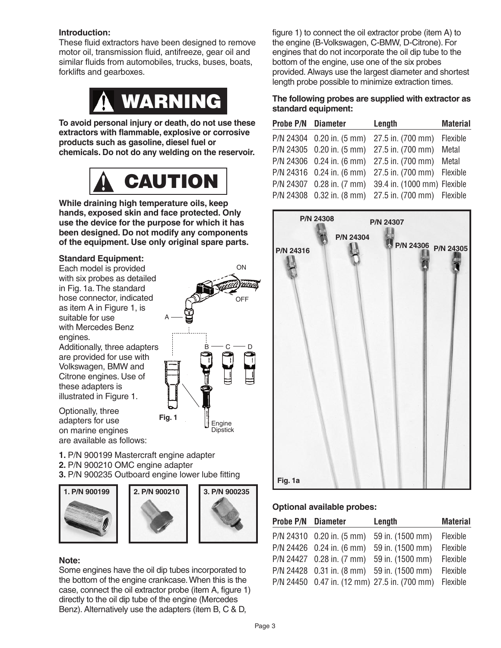#### **Introduction:**

These fluid extractors have been designed to remove motor oil, transmission fluid, antifreeze, gear oil and similar fluids from automobiles, trucks, buses, boats, forklifts and gearboxes.



**To avoid personal injury or death, do not use these extractors with flammable, explosive or corrosive products such as gasoline, diesel fuel or chemicals. Do not do any welding on the reservoir.**



**While draining high temperature oils, keep hands, exposed skin and face protected. Only use the device for the purpose for which it has been designed. Do not modify any components of the equipment. Use only original spare parts.**

## **Standard Equipment:**

Each model is provided with six probes as detailed in Fig. 1a.The standard hose connector, indicated as item A in Figure 1, is suitable for use with Mercedes Benz engines.

Additionally, three adapters are provided for use with Volkswagen, BMW and Citrone engines. Use of these adapters is illustrated in Figure 1.

Optionally, three adapters for use on marine engines are available as follows:

**1.** P/N 900199 Mastercraft engine adapter **2.** P/N 900210 OMC engine adapter **3.** P/N 900235 Outboard engine lower lube fitting







Some engines have the oil dip tubes incorporated to the bottom of the engine crankcase.When this is the case, connect the oil extractor probe (item A, figure 1) directly to the oil dip tube of the engine (Mercedes Benz). Alternatively use the adapters (item B, C & D,

ON **OFF**  $B\longrightarrow C\longrightarrow D$ Engine **Dipstick** A **Fig. 1**

figure 1) to connect the oil extractor probe (item A) to the engine (B-Volkswagen, C-BMW, D-Citrone). For engines that do not incorporate the oil dip tube to the bottom of the engine, use one of the six probes provided. Always use the largest diameter and shortest length probe possible to minimize extraction times.

#### **The following probes are supplied with extractor as standard equipment:**

| <b>Probe P/N Diameter</b> | Length                                                | <b>Material</b> |
|---------------------------|-------------------------------------------------------|-----------------|
|                           | P/N 24304 0.20 in. (5 mm) 27.5 in. (700 mm) Flexible  |                 |
|                           | P/N 24305 0.20 in. (5 mm) 27.5 in. (700 mm) Metal     |                 |
|                           | P/N 24306 0.24 in. (6 mm) 27.5 in. (700 mm) Metal     |                 |
|                           | P/N 24316 0.24 in. (6 mm) 27.5 in. (700 mm) Flexible  |                 |
|                           | P/N 24307 0.28 in. (7 mm) 39.4 in. (1000 mm) Flexible |                 |
|                           | P/N 24308 0.32 in. (8 mm) 27.5 in. (700 mm) Flexible  |                 |



## **Optional available probes:**

| Probe P/N Diameter | Length                                       | <b>Material</b> |
|--------------------|----------------------------------------------|-----------------|
|                    | P/N 24310 0.20 in. (5 mm) 59 in. (1500 mm)   | Flexible        |
|                    | P/N 24426 0.24 in. (6 mm) 59 in. (1500 mm)   | Flexible        |
|                    | P/N 24427 0.28 in. (7 mm) 59 in. (1500 mm)   | Flexible        |
|                    | P/N 24428 0.31 in. (8 mm) 59 in. (1500 mm)   | Flexible        |
|                    | P/N 24450 0.47 in. (12 mm) 27.5 in. (700 mm) | Flexible        |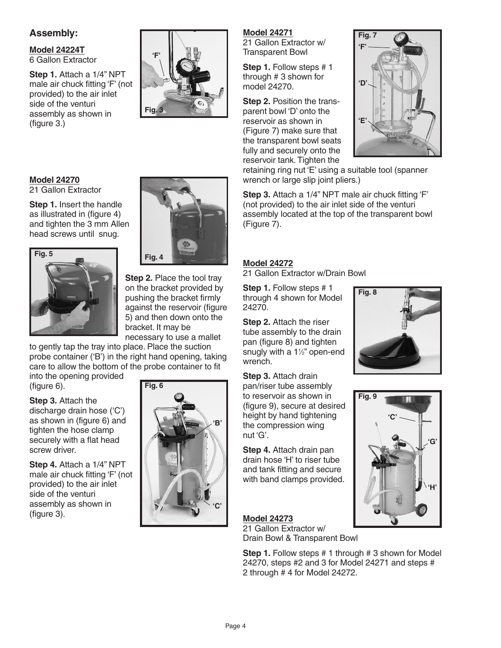## **Assembly:**

**Model 24224T** 6 Gallon Extractor

**Step 1.** Attach a 1/4" NPT male air chuck fitting 'F' (not provided) to the air inlet side of the venturi assembly as shown in (figure 3.)

#### **Model 24270** 21 Gallon Extractor

**Step 1.** Insert the handle as illustrated in (figure 4) and tighten the 3 mm Allen head screws until snug.





**Fig. 3**

**'F'**

**Step 2.** Place the tool tray on the bracket provided by pushing the bracket firmly against the reservoir (figure 5) and then down onto the bracket. It may be necessary to use a mallet

to gently tap the tray into place. Place the suction probe container ('B') in the right hand opening, taking care to allow the bottom of the probe container to fit

into the opening provided (figure 6).

**Step 3.** Attach the discharge drain hose ('C') as shown in (figure 6) and tighten the hose clamp securely with a flat head screw driver.

**Step 4.** Attach a 1/4" NPT male air chuck fitting 'F' (not provided) to the air inlet side of the venturi assembly as shown in (figure 3).



# **Model 24271**

21 Gallon Extractor w/ Transparent Bowl

**Step 1.** Follow steps # 1 through # 3 shown for model 24270.

**Step 2.** Position the transparent bowl 'D' onto the reservoir as shown in (Figure 7) make sure that the transparent bowl seats fully and securely onto the reservoir tank.Tighten the



retaining ring nut 'E' using a suitable tool (spanner wrench or large slip joint pliers.)

**Step 3.** Attach a 1/4" NPT male air chuck fitting 'F' (not provided) to the air inlet side of the venturi assembly located at the top of the transparent bowl (Figure 7).

## **Model 24272**

21 Gallon Extractor w/Drain Bowl

**Step 1.** Follow steps # 1 through 4 shown for Model 24270.

**Step 2.** Attach the riser tube assembly to the drain pan (figure 8) and tighten snugly with a 1<sup>1/2"</sup> open-end wrench.

**Step 3.** Attach drain pan/riser tube assembly to reservoir as shown in (figure 9), secure at desired height by hand tightening the compression wing nut 'G'.

**Step 4.** Attach drain pan drain hose 'H' to riser tube and tank fitting and secure with band clamps provided.

# **Model 24273**

21 Gallon Extractor w/ Drain Bowl & Transparent Bowl

**Step 1.** Follow steps # 1 through # 3 shown for Model 24270, steps #2 and 3 for Model 24271 and steps # 2 through # 4 for Model 24272.



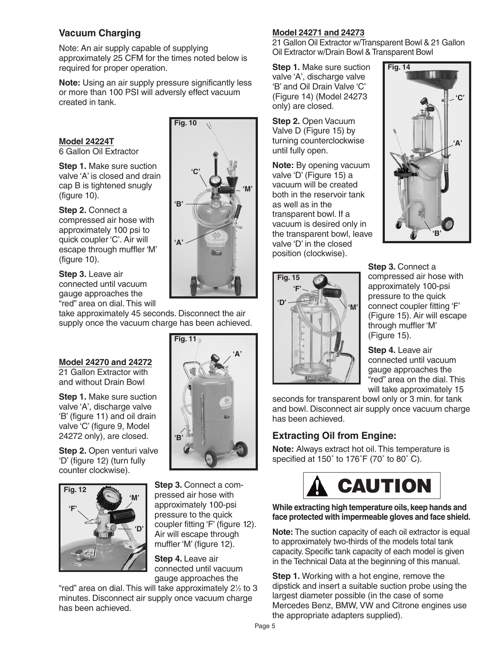## **Vacuum Charging**

Note: An air supply capable of supplying approximately 25 CFM for the times noted below is required for proper operation.

**Note:** Using an air supply pressure significantly less or more than 100 PSI will adversly effect vacuum created in tank.

## **Model 24224T**

6 Gallon Oil Extractor

**Step 1.** Make sure suction valve 'A' is closed and drain cap B is tightened snugly (figure 10).

**Step 2.** Connect a compressed air hose with approximately 100 psi to quick coupler 'C'. Air will escape through muffler 'M' (figure 10).

**Step 3.** Leave air connected until vacuum gauge approaches the "red" area on dial.This will

take approximately 45 seconds. Disconnect the air supply once the vacuum charge has been achieved.

**Fig. 11**

**'B'**

**'A'**

## **Model 24270 and 24272**

21 Gallon Extractor with and without Drain Bowl

**Step 1.** Make sure suction valve 'A', discharge valve 'B' (figure 11) and oil drain valve 'C' (figure 9, Model 24272 only), are closed.

**Step 2.** Open venturi valve 'D' (figure 12) (turn fully counter clockwise).



**Step 3.** Connect a compressed air hose with approximately 100-psi pressure to the quick coupler fitting 'F' (figure 12). Air will escape through muffler 'M' (figure 12).

**Step 4.** Leave air connected until vacuum gauge approaches the

"red" area on dial.This will take approximately 21 ⁄2 to 3 minutes. Disconnect air supply once vacuum charge has been achieved.



## **Model 24271 and 24273**

21 Gallon Oil Extractor w/Transparent Bowl & 21 Gallon Oil Extractor w/Drain Bowl & Transparent Bowl

**Step 1.** Make sure suction valve 'A', discharge valve 'B' and Oil Drain Valve 'C' (Figure 14) (Model 24273 only) are closed.

**Step 2.** Open Vacuum Valve D (Figure 15) by turning counterclockwise until fully open.

**Note:** By opening vacuum valve 'D' (Figure 15) a vacuum will be created both in the reservoir tank as well as in the transparent bowl. If a vacuum is desired only in the transparent bowl, leave valve 'D' in the closed position (clockwise).



**Step 3.** Connect a compressed air hose with approximately 100-psi pressure to the quick connect coupler fitting 'F' (Figure 15). Air will escape through muffler 'M' (Figure 15).

**Step 4.** Leave air connected until vacuum gauge approaches the "red" area on the dial.This will take approximately 15

seconds for transparent bowl only or 3 min. for tank and bowl. Disconnect air supply once vacuum charge has been achieved.

# **Extracting Oil from Engine:**

**Note:** Always extract hot oil.This temperature is specified at 150° to 176°F (70° to 80° C).



#### **While extracting high temperature oils, keep hands and face protected with impermeable gloves and face shield.**

**Note:** The suction capacity of each oil extractor is equal to approximately two-thirds of the models total tank capacity. Specific tank capacity of each model is given in the Technical Data at the beginning of this manual.

**Step 1.** Working with a hot engine, remove the dipstick and insert a suitable suction probe using the largest diameter possible (in the case of some Mercedes Benz, BMW, VW and Citrone engines use the appropriate adapters supplied).

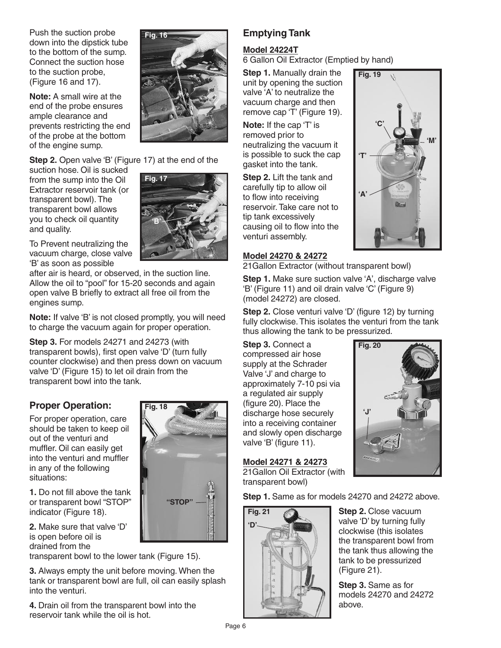Push the suction probe down into the dipstick tube to the bottom of the sump. Connect the suction hose to the suction probe, (Figure 16 and 17).

**Note:** A small wire at the end of the probe ensures ample clearance and prevents restricting the end of the probe at the bottom of the engine sump.

**Step 2.** Open valve 'B' (Figure 17) at the end of the

**Fig. 16**

suction hose. Oil is sucked from the sump into the Oil Extractor reservoir tank (or transparent bowl).The transparent bowl allows you to check oil quantity and quality.



To Prevent neutralizing the vacuum charge, close valve 'B' as soon as possible

after air is heard, or observed, in the suction line. Allow the oil to "pool" for 15-20 seconds and again open valve B briefly to extract all free oil from the engines sump.

**Note:** If valve 'B' is not closed promptly, you will need to charge the vacuum again for proper operation.

**Step 3.** For models 24271 and 24273 (with transparent bowls), first open valve 'D' (turn fully counter clockwise) and then press down on vacuum valve 'D' (Figure 15) to let oil drain from the transparent bowl into the tank.

**Fig. 18**

**"STOP"**

## **Proper Operation:**

For proper operation, care should be taken to keep oil out of the venturi and muffler. Oil can easily get into the venturi and muffler in any of the following situations:

**1.** Do not fill above the tank or transparent bowl "STOP" indicator (Figure 18).

**2.** Make sure that valve 'D' is open before oil is drained from the

transparent bowl to the lower tank (Figure 15).

**3.** Always empty the unit before moving. When the tank or transparent bowl are full, oil can easily splash into the venturi.

**4.** Drain oil from the transparent bowl into the reservoir tank while the oil is hot.

# **Emptying Tank**

## **Model 24224T**

6 Gallon Oil Extractor (Emptied by hand)

**Step 1.** Manually drain the unit by opening the suction valve 'A' to neutralize the vacuum charge and then remove cap 'T' (Figure 19).

**Note:** If the cap 'T' is removed prior to neutralizing the vacuum it is possible to suck the cap gasket into the tank.

**Step 2.** Lift the tank and carefully tip to allow oil to flow into receiving reservoir.Take care not to tip tank excessively causing oil to flow into the venturi assembly.

## **Model 24270 & 24272**

21Gallon Extractor (without transparent bowl)

**Step 1.** Make sure suction valve 'A', discharge valve 'B' (Figure 11) and oil drain valve 'C' (Figure 9) (model 24272) are closed.

**Step 2.** Close venturi valve 'D' (figure 12) by turning fully clockwise.This isolates the venturi from the tank thus allowing the tank to be pressurized.

**Fig. 20**

**'J'**

**Step 3.** Connect a compressed air hose supply at the Schrader Valve 'J' and charge to approximately 7-10 psi via a regulated air supply (figure 20). Place the discharge hose securely into a receiving container and slowly open discharge valve 'B' (figure 11).

## **Model 24271 & 24273**

21Gallon Oil Extractor (with transparent bowl)

**Step 1.** Same as for models 24270 and 24272 above.



**Step 2.** Close vacuum valve 'D' by turning fully clockwise (this isolates the transparent bowl from the tank thus allowing the tank to be pressurized (Figure 21).

**Step 3.** Same as for models 24270 and 24272 above.

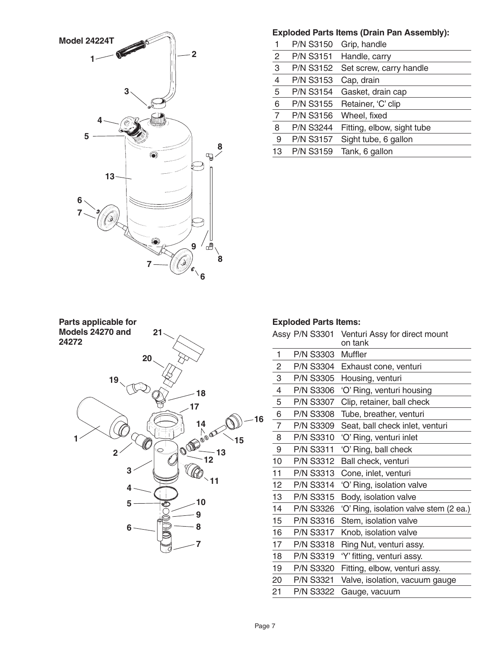

## **Exploded Parts Items (Drain Pan Assembly):**

| 1              |                  | P/N S3150 Grip, handle            |
|----------------|------------------|-----------------------------------|
|                |                  | P/N S3151 Handle, carry           |
| $\frac{2}{3}$  |                  | P/N S3152 Set screw, carry handle |
| $\overline{4}$ | <b>P/N S3153</b> | Cap, drain                        |
| $\overline{5}$ | <b>P/N S3154</b> | Gasket, drain cap                 |
| $\,6$          | P/N S3155        | Retainer, 'C' clip                |
| $\overline{7}$ | <b>P/N S3156</b> | Wheel, fixed                      |
| 8              | <b>P/N S3244</b> | Fitting, elbow, sight tube        |
| 9              | <b>P/N S3157</b> | Sight tube, 6 gallon              |
| 13             | <b>P/N S3159</b> | Tank, 6 gallon                    |



## **Exploded Parts Items:**

|                | Assy P/N S3301   | Venturi Assy for direct mount<br>on tank |
|----------------|------------------|------------------------------------------|
| 1              | <b>P/N S3303</b> | Muffler                                  |
| $\overline{c}$ | <b>P/N S3304</b> | Exhaust cone, venturi                    |
| 3              | <b>P/N S3305</b> | Housing, venturi                         |
| $\overline{4}$ | <b>P/N S3306</b> | 'O' Ring, venturi housing                |
| 5              | <b>P/N S3307</b> | Clip, retainer, ball check               |
| 6              | <b>P/N S3308</b> | Tube, breather, venturi                  |
| $\overline{7}$ | <b>P/N S3309</b> | Seat, ball check inlet, venturi          |
| 8              | <b>P/N S3310</b> | 'O' Ring, venturi inlet                  |
| 9              | <b>P/N S3311</b> | 'O' Ring, ball check                     |
| 10             | <b>P/N S3312</b> | Ball check, venturi                      |
| 11             | <b>P/N S3313</b> | Cone, inlet, venturi                     |
| 12             | <b>P/N S3314</b> | 'O' Ring, isolation valve                |
| 13             | <b>P/N S3315</b> | Body, isolation valve                    |
| 14             | <b>P/N S3326</b> | 'O' Ring, isolation valve stem (2 ea.)   |
| 15             | <b>P/N S3316</b> | Stem, isolation valve                    |
| 16             | <b>P/N S3317</b> | Knob, isolation valve                    |
| 17             | <b>P/N S3318</b> | Ring Nut, venturi assy.                  |
| 18             | <b>P/N S3319</b> | 'Y' fitting, venturi assy.               |
| 19             | <b>P/N S3320</b> | Fitting, elbow, venturi assy.            |
| 20             | <b>P/N S3321</b> | Valve, isolation, vacuum gauge           |
| 21             | <b>P/N S3322</b> | Gauge, vacuum                            |
|                |                  |                                          |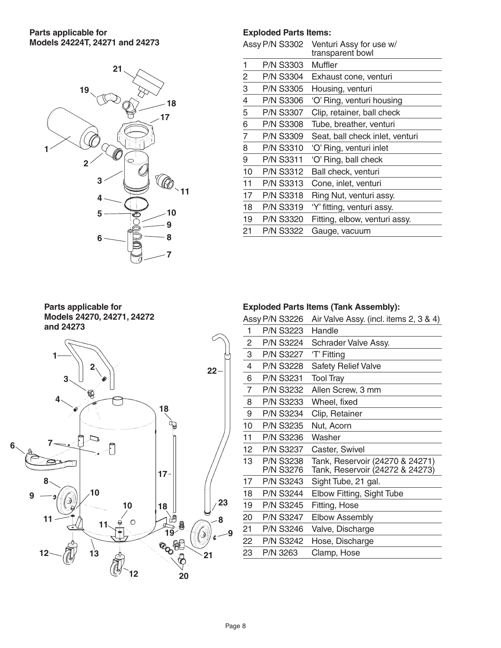## **Parts applicable for Models 24224T, 24271 and 24273**



#### **Exploded Parts Items:**

|                  | Venturi Assy for use w/<br>transparent bowl |
|------------------|---------------------------------------------|
| <b>P/N S3303</b> | Muffler                                     |
| <b>P/N S3304</b> | Exhaust cone, venturi                       |
| <b>P/N S3305</b> | Housing, venturi                            |
| <b>P/N S3306</b> | 'O' Ring, venturi housing                   |
| <b>P/N S3307</b> | Clip, retainer, ball check                  |
| <b>P/N S3308</b> | Tube, breather, venturi                     |
| <b>P/N S3309</b> | Seat, ball check inlet, venturi             |
| <b>P/N S3310</b> | 'O' Ring, venturi inlet                     |
| P/N S3311        | 'O' Ring, ball check                        |
| <b>P/N S3312</b> | Ball check, venturi                         |
| <b>P/N S3313</b> | Cone, inlet, venturi                        |
| <b>P/N S3318</b> | Ring Nut, venturi assy.                     |
| <b>P/N S3319</b> | 'Y' fitting, venturi assy.                  |
| <b>P/N S3320</b> | Fitting, elbow, venturi assy.               |
| <b>P/N S3322</b> | Gauge, vacuum                               |
|                  | <b>Assy P/N S3302</b>                       |

## **Parts applicable for Models 24270, 24271, 24272 and 24273**



## **Exploded Parts Items (Tank Assembly):**

|    | Assy P/N S3226 |                               | Air Valve Assy. (incl. items 2, 3 & 4)                             |
|----|----------------|-------------------------------|--------------------------------------------------------------------|
| 1  |                | <b>P/N S3223</b>              | Handle                                                             |
| 2  |                | <b>P/N S3224</b>              | Schrader Valve Assy.                                               |
| 3  |                | <b>P/N S3227</b>              | 'T' Fitting                                                        |
| 4  |                | <b>P/N S3228</b>              | <b>Safety Relief Valve</b>                                         |
| 6  |                | <b>P/N S3231</b>              | <b>Tool Tray</b>                                                   |
| 7  |                | P/N S3232                     | Allen Screw, 3 mm                                                  |
| 8  |                | P/N S3233                     | Wheel, fixed                                                       |
| 9  |                | <b>P/N S3234</b>              | Clip, Retainer                                                     |
| 10 |                | <b>P/N S3235</b>              | Nut, Acorn                                                         |
| 11 |                | <b>P/N S3236</b>              | Washer                                                             |
| 12 |                | <b>P/N S3237</b>              | Caster, Swivel                                                     |
| 13 |                | <b>P/N S3238</b><br>P/N S3276 | Tank, Reservoir (24270 & 24271)<br>Tank, Reservoir (24272 & 24273) |
| 17 |                | P/N S3243                     | Sight Tube, 21 gal.                                                |
| 18 |                | <b>P/N S3244</b>              | Elbow Fitting, Sight Tube                                          |
| 19 |                | <b>P/N S3245</b>              | Fitting, Hose                                                      |
| 20 |                | <b>P/N S3247</b>              | <b>Elbow Assembly</b>                                              |
| 21 |                | <b>P/N S3246</b>              | Valve, Discharge                                                   |
| 22 |                | <b>P/N S3242</b>              | Hose, Discharge                                                    |
| 23 | P/N 3263       |                               | Clamp, Hose                                                        |
|    |                |                               |                                                                    |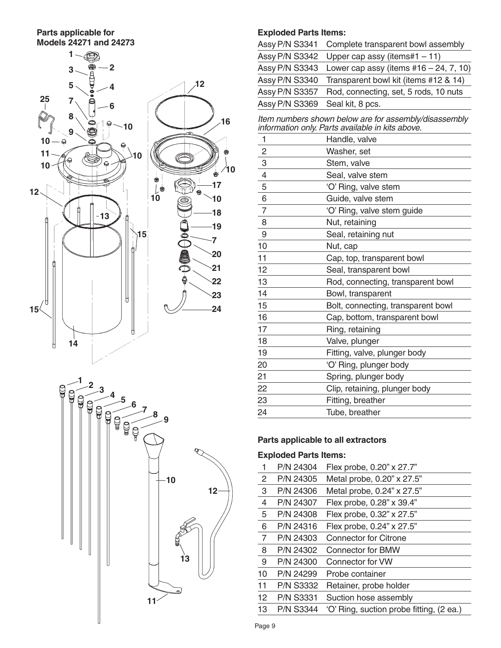#### **Parts applicable for Models 24271 and 24273**





## **Exploded Parts Items:**

|                                 | Assy P/N S3341 Complete transparent bowl assembly |
|---------------------------------|---------------------------------------------------|
| Assy P/N S3342                  | Upper cap assy (items#1 $-11$ )                   |
| Assy P/N S3343                  | Lower cap assy (items $#16 - 24, 7, 10$ )         |
| Assy P/N S3340                  | Transparent bowl kit (items #12 & 14)             |
| Assy P/N S3357                  | Rod, connecting, set, 5 rods, 10 nuts             |
| Assy P/N S3369 Seal kit, 8 pcs. |                                                   |
|                                 |                                                   |

*Item numbers shown below are for assembly/disassembly information only. Parts available in kits above.*

| 1                | Handle, valve                      |
|------------------|------------------------------------|
| $\overline{c}$   | Washer, set                        |
| $\frac{3}{4}$    | Stem, valve                        |
|                  | Seal, valve stem                   |
| 5                | 'O' Ring, valve stem               |
| $\overline{6}$   | Guide, valve stem                  |
| $\overline{7}$   | 'O' Ring, valve stem guide         |
| 8                | Nut, retaining                     |
| $\boldsymbol{9}$ | Seal, retaining nut                |
| 10               | Nut, cap                           |
| 11               | Cap, top, transparent bowl         |
| 12               | Seal, transparent bowl             |
| 13               | Rod, connecting, transparent bowl  |
| 14               | Bowl, transparent                  |
| 15               | Bolt, connecting, transparent bowl |
| 16               | Cap, bottom, transparent bowl      |
| 17               | Ring, retaining                    |
| 18               | Valve, plunger                     |
| 19               | Fitting, valve, plunger body       |
| 20               | 'O' Ring, plunger body             |
| 21               | Spring, plunger body               |
| 22               | Clip, retaining, plunger body      |
| 23               | Fitting, breather                  |
| 24               | Tube, breather                     |

## **Parts applicable to all extractors**

## **Exploded Parts Items:**

| 1              | P/N 24304        | Flex probe, 0.20" x 27.7"                |
|----------------|------------------|------------------------------------------|
| $\overline{2}$ | P/N 24305        | Metal probe, 0.20" x 27.5"               |
| 3              | P/N 24306        | Metal probe, 0.24" x 27.5"               |
| 4              | P/N 24307        | Flex probe, 0.28" x 39.4"                |
| 5              | P/N 24308        | Flex probe, 0.32" x 27.5"                |
| 6              | P/N 24316        | Flex probe, 0.24" x 27.5"                |
| $\overline{7}$ | P/N 24303        | <b>Connector for Citrone</b>             |
| 8              | P/N 24302        | <b>Connector for BMW</b>                 |
| 9              | P/N 24300        | Connector for VW                         |
| 10             | P/N 24299        | Probe container                          |
| 11             | <b>P/N S3332</b> | Retainer, probe holder                   |
| 12             | <b>P/N S3331</b> | Suction hose assembly                    |
| 13             | <b>P/N S3344</b> | 'O' Ring, suction probe fitting, (2 ea.) |
|                |                  |                                          |

Page 9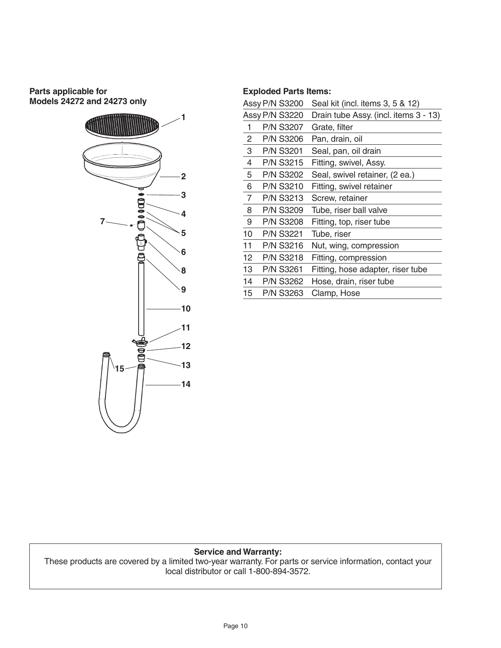## **Parts applicable for Models 24272 and 24273 only**



#### **Exploded Parts Items:**

|                | Assy P/N S3200   | Seal kit (incl. items 3, 5 & 12)      |
|----------------|------------------|---------------------------------------|
|                | Assy P/N S3220   | Drain tube Assy. (incl. items 3 - 13) |
| 1              | <b>P/N S3207</b> | Grate, filter                         |
| $\overline{2}$ | P/N S3206        | Pan, drain, oil                       |
| 3              | <b>P/N S3201</b> | Seal, pan, oil drain                  |
| 4              | <b>P/N S3215</b> | Fitting, swivel, Assy.                |
| 5              | <b>P/N S3202</b> | Seal, swivel retainer, (2 ea.)        |
| 6              | <b>P/N S3210</b> | Fitting, swivel retainer              |
| $\overline{7}$ | <b>P/N S3213</b> | Screw, retainer                       |
| 8              | <b>P/N S3209</b> | Tube, riser ball valve                |
| 9              | <b>P/N S3208</b> | Fitting, top, riser tube              |
| 10             | <b>P/N S3221</b> | Tube, riser                           |
| 11             | P/N S3216        | Nut, wing, compression                |
| 12             | <b>P/N S3218</b> | Fitting, compression                  |
| 13             | P/N S3261        | Fitting, hose adapter, riser tube     |
| 14             | <b>P/N S3262</b> | Hose, drain, riser tube               |
| 15             | P/N S3263        | Clamp, Hose                           |

#### **Service and Warranty:**

These products are covered by a limited two-year warranty. For parts or service information, contact your local distributor or call 1-800-894-3572.